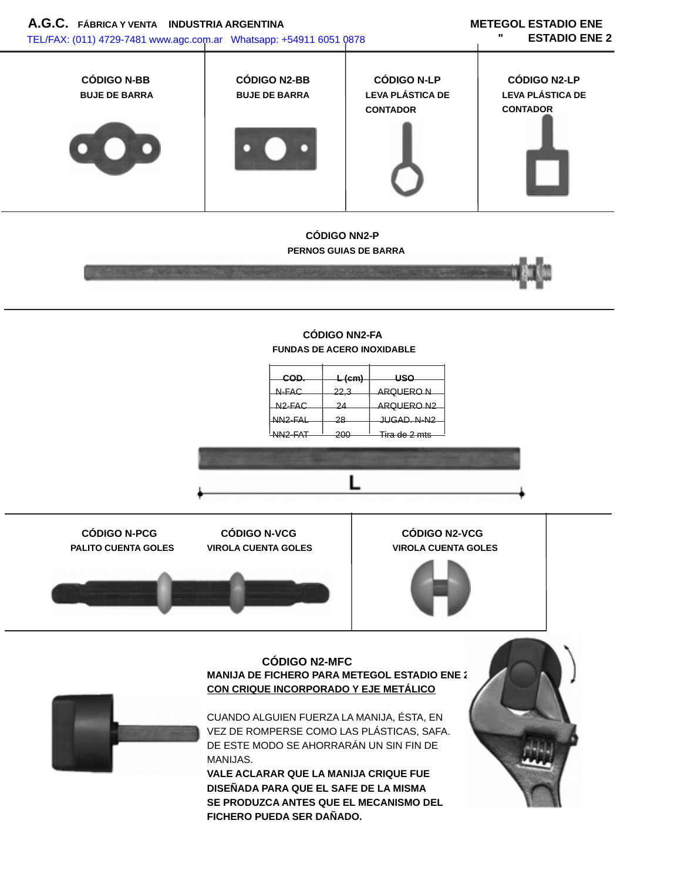

**DISEÑADA PARA QUE EL SAFE DE LA MISMA SE PRODUZCA ANTES QUE EL MECANISMO DEL FICHERO PUEDA SER DAÑADO.**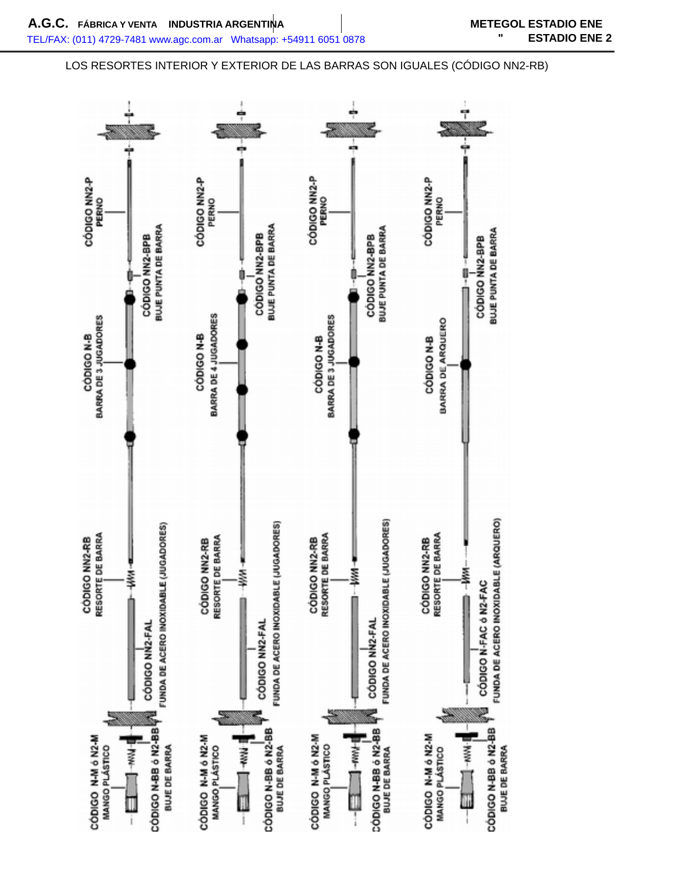## LOS RESORTES INTERIOR Y EXTERIOR DE LAS BARRAS SON IGUALES (CÓDIGO NN2-RB)

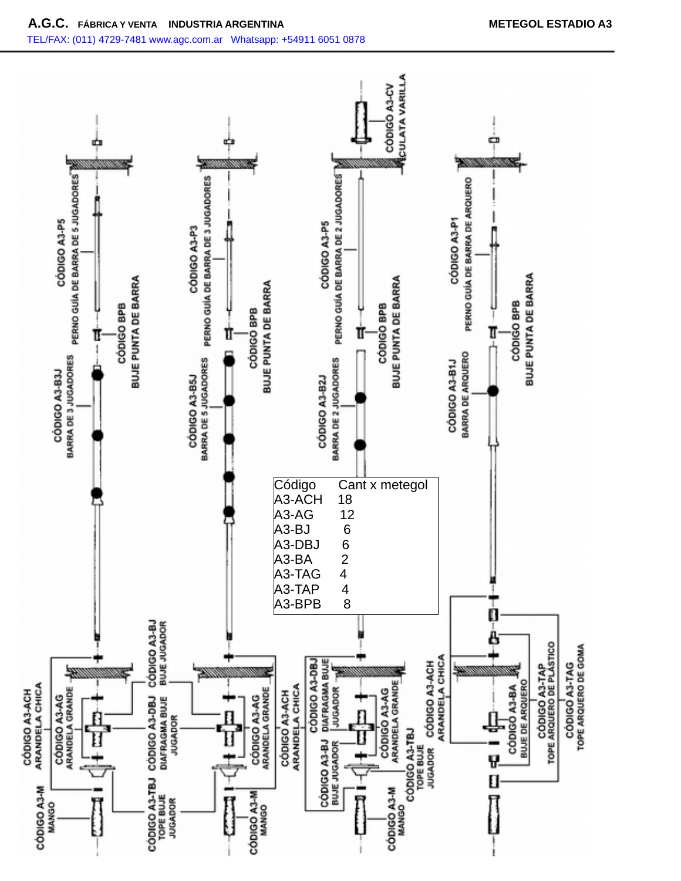